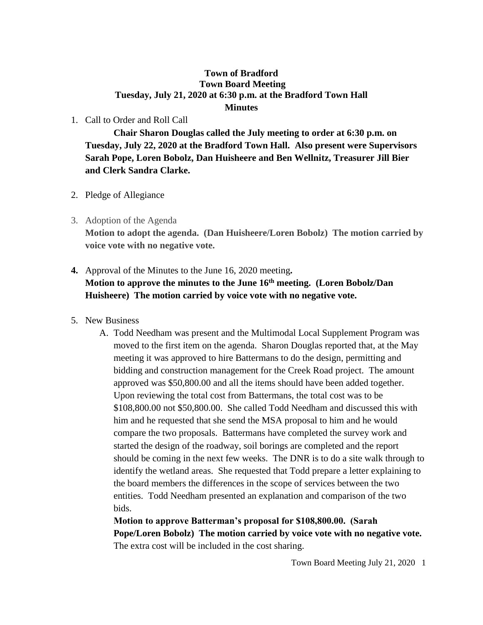## **Town of Bradford Town Board Meeting Tuesday, July 21, 2020 at 6:30 p.m. at the Bradford Town Hall Minutes**

## 1. Call to Order and Roll Call

**Chair Sharon Douglas called the July meeting to order at 6:30 p.m. on Tuesday, July 22, 2020 at the Bradford Town Hall. Also present were Supervisors Sarah Pope, Loren Bobolz, Dan Huisheere and Ben Wellnitz, Treasurer Jill Bier and Clerk Sandra Clarke.**

- 2. Pledge of Allegiance
- 3. Adoption of the Agenda

**Motion to adopt the agenda. (Dan Huisheere/Loren Bobolz) The motion carried by voice vote with no negative vote.**

## **4.** Approval of the Minutes to the June 16, 2020 meeting**.**

## **Motion to approve the minutes to the June 16th meeting. (Loren Bobolz/Dan Huisheere) The motion carried by voice vote with no negative vote.**

- 5. New Business
	- A. Todd Needham was present and the Multimodal Local Supplement Program was moved to the first item on the agenda. Sharon Douglas reported that, at the May meeting it was approved to hire Battermans to do the design, permitting and bidding and construction management for the Creek Road project. The amount approved was \$50,800.00 and all the items should have been added together. Upon reviewing the total cost from Battermans, the total cost was to be \$108,800.00 not \$50,800.00. She called Todd Needham and discussed this with him and he requested that she send the MSA proposal to him and he would compare the two proposals. Battermans have completed the survey work and started the design of the roadway, soil borings are completed and the report should be coming in the next few weeks. The DNR is to do a site walk through to identify the wetland areas. She requested that Todd prepare a letter explaining to the board members the differences in the scope of services between the two entities. Todd Needham presented an explanation and comparison of the two bids.

**Motion to approve Batterman's proposal for \$108,800.00. (Sarah Pope/Loren Bobolz) The motion carried by voice vote with no negative vote.** The extra cost will be included in the cost sharing.

Town Board Meeting July 21, 2020 1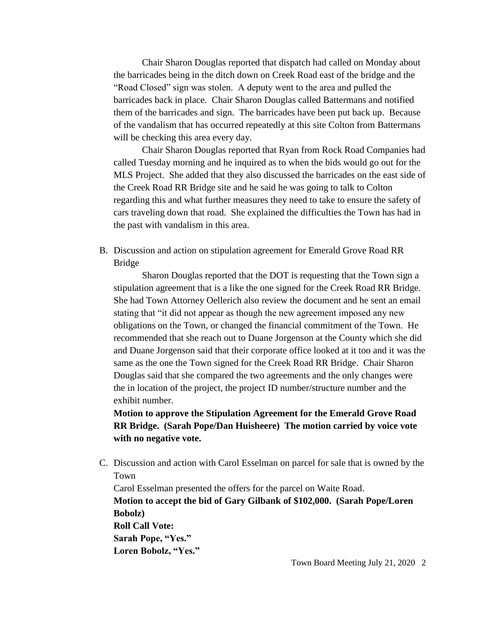Chair Sharon Douglas reported that dispatch had called on Monday about the barricades being in the ditch down on Creek Road east of the bridge and the "Road Closed" sign was stolen. A deputy went to the area and pulled the barricades back in place. Chair Sharon Douglas called Battermans and notified them of the barricades and sign. The barricades have been put back up. Because of the vandalism that has occurred repeatedly at this site Colton from Battermans will be checking this area every day.

Chair Sharon Douglas reported that Ryan from Rock Road Companies had called Tuesday morning and he inquired as to when the bids would go out for the MLS Project. She added that they also discussed the barricades on the east side of the Creek Road RR Bridge site and he said he was going to talk to Colton regarding this and what further measures they need to take to ensure the safety of cars traveling down that road. She explained the difficulties the Town has had in the past with vandalism in this area.

B. Discussion and action on stipulation agreement for Emerald Grove Road RR Bridge

Sharon Douglas reported that the DOT is requesting that the Town sign a stipulation agreement that is a like the one signed for the Creek Road RR Bridge. She had Town Attorney Oellerich also review the document and he sent an email stating that "it did not appear as though the new agreement imposed any new obligations on the Town, or changed the financial commitment of the Town. He recommended that she reach out to Duane Jorgenson at the County which she did and Duane Jorgenson said that their corporate office looked at it too and it was the same as the one the Town signed for the Creek Road RR Bridge. Chair Sharon Douglas said that she compared the two agreements and the only changes were the in location of the project, the project ID number/structure number and the exhibit number.

**Motion to approve the Stipulation Agreement for the Emerald Grove Road RR Bridge. (Sarah Pope/Dan Huisheere) The motion carried by voice vote with no negative vote.**

C. Discussion and action with Carol Esselman on parcel for sale that is owned by the Town

Carol Esselman presented the offers for the parcel on Waite Road. **Motion to accept the bid of Gary Gilbank of \$102,000. (Sarah Pope/Loren Bobolz) Roll Call Vote: Sarah Pope, "Yes." Loren Bobolz, "Yes."**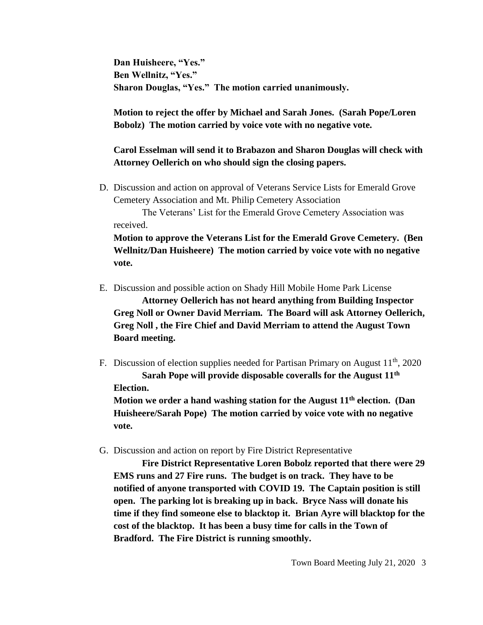**Dan Huisheere, "Yes." Ben Wellnitz, "Yes." Sharon Douglas, "Yes." The motion carried unanimously.**

**Motion to reject the offer by Michael and Sarah Jones. (Sarah Pope/Loren Bobolz) The motion carried by voice vote with no negative vote.**

**Carol Esselman will send it to Brabazon and Sharon Douglas will check with Attorney Oellerich on who should sign the closing papers.**

D. Discussion and action on approval of Veterans Service Lists for Emerald Grove Cemetery Association and Mt. Philip Cemetery Association

The Veterans' List for the Emerald Grove Cemetery Association was received.

**Motion to approve the Veterans List for the Emerald Grove Cemetery. (Ben Wellnitz/Dan Huisheere) The motion carried by voice vote with no negative vote.**

- E. Discussion and possible action on Shady Hill Mobile Home Park License **Attorney Oellerich has not heard anything from Building Inspector Greg Noll or Owner David Merriam. The Board will ask Attorney Oellerich, Greg Noll , the Fire Chief and David Merriam to attend the August Town Board meeting.**
- F. Discussion of election supplies needed for Partisan Primary on August 11<sup>th</sup>, 2020 **Sarah Pope will provide disposable coveralls for the August 11th Election.**

**Motion we order a hand washing station for the August 11th election. (Dan Huisheere/Sarah Pope) The motion carried by voice vote with no negative vote.**

G. Discussion and action on report by Fire District Representative

**Fire District Representative Loren Bobolz reported that there were 29 EMS runs and 27 Fire runs. The budget is on track. They have to be notified of anyone transported with COVID 19. The Captain position is still open. The parking lot is breaking up in back. Bryce Nass will donate his time if they find someone else to blacktop it. Brian Ayre will blacktop for the cost of the blacktop. It has been a busy time for calls in the Town of Bradford. The Fire District is running smoothly.**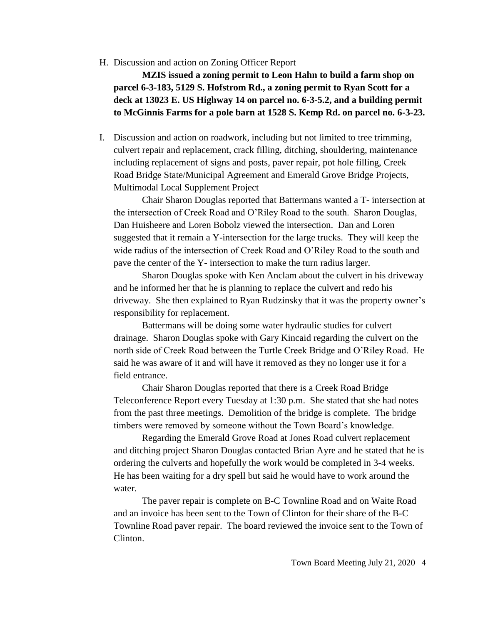H. Discussion and action on Zoning Officer Report

**MZIS issued a zoning permit to Leon Hahn to build a farm shop on parcel 6-3-183, 5129 S. Hofstrom Rd., a zoning permit to Ryan Scott for a deck at 13023 E. US Highway 14 on parcel no. 6-3-5.2, and a building permit to McGinnis Farms for a pole barn at 1528 S. Kemp Rd. on parcel no. 6-3-23.**

I. Discussion and action on roadwork, including but not limited to tree trimming, culvert repair and replacement, crack filling, ditching, shouldering, maintenance including replacement of signs and posts, paver repair, pot hole filling, Creek Road Bridge State/Municipal Agreement and Emerald Grove Bridge Projects, Multimodal Local Supplement Project

Chair Sharon Douglas reported that Battermans wanted a T- intersection at the intersection of Creek Road and O'Riley Road to the south. Sharon Douglas, Dan Huisheere and Loren Bobolz viewed the intersection. Dan and Loren suggested that it remain a Y-intersection for the large trucks. They will keep the wide radius of the intersection of Creek Road and O'Riley Road to the south and pave the center of the Y- intersection to make the turn radius larger.

Sharon Douglas spoke with Ken Anclam about the culvert in his driveway and he informed her that he is planning to replace the culvert and redo his driveway. She then explained to Ryan Rudzinsky that it was the property owner's responsibility for replacement.

Battermans will be doing some water hydraulic studies for culvert drainage. Sharon Douglas spoke with Gary Kincaid regarding the culvert on the north side of Creek Road between the Turtle Creek Bridge and O'Riley Road. He said he was aware of it and will have it removed as they no longer use it for a field entrance.

Chair Sharon Douglas reported that there is a Creek Road Bridge Teleconference Report every Tuesday at 1:30 p.m. She stated that she had notes from the past three meetings. Demolition of the bridge is complete. The bridge timbers were removed by someone without the Town Board's knowledge.

Regarding the Emerald Grove Road at Jones Road culvert replacement and ditching project Sharon Douglas contacted Brian Ayre and he stated that he is ordering the culverts and hopefully the work would be completed in 3-4 weeks. He has been waiting for a dry spell but said he would have to work around the water.

The paver repair is complete on B-C Townline Road and on Waite Road and an invoice has been sent to the Town of Clinton for their share of the B-C Townline Road paver repair. The board reviewed the invoice sent to the Town of Clinton.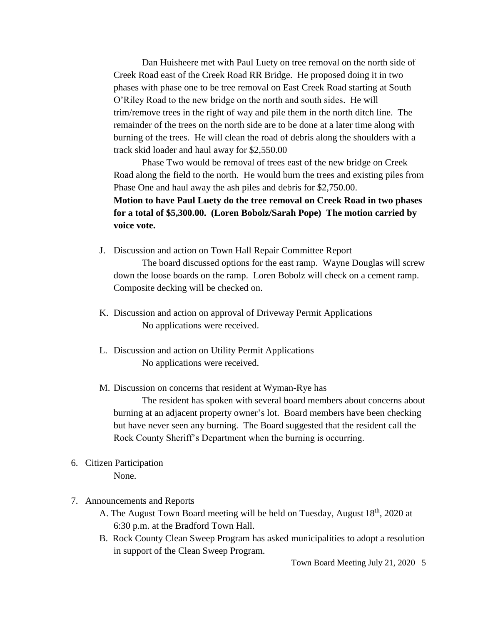Dan Huisheere met with Paul Luety on tree removal on the north side of Creek Road east of the Creek Road RR Bridge. He proposed doing it in two phases with phase one to be tree removal on East Creek Road starting at South O'Riley Road to the new bridge on the north and south sides. He will trim/remove trees in the right of way and pile them in the north ditch line. The remainder of the trees on the north side are to be done at a later time along with burning of the trees. He will clean the road of debris along the shoulders with a track skid loader and haul away for \$2,550.00

Phase Two would be removal of trees east of the new bridge on Creek Road along the field to the north. He would burn the trees and existing piles from Phase One and haul away the ash piles and debris for \$2,750.00.

**Motion to have Paul Luety do the tree removal on Creek Road in two phases for a total of \$5,300.00. (Loren Bobolz/Sarah Pope) The motion carried by voice vote.**

J. Discussion and action on Town Hall Repair Committee Report

The board discussed options for the east ramp. Wayne Douglas will screw down the loose boards on the ramp. Loren Bobolz will check on a cement ramp. Composite decking will be checked on.

- K. Discussion and action on approval of Driveway Permit Applications No applications were received.
- L. Discussion and action on Utility Permit Applications No applications were received.
- M. Discussion on concerns that resident at Wyman-Rye has The resident has spoken with several board members about concerns about

burning at an adjacent property owner's lot. Board members have been checking but have never seen any burning. The Board suggested that the resident call the Rock County Sheriff's Department when the burning is occurring.

- 6. Citizen Participation None.
- 7. Announcements and Reports
	- A. The August Town Board meeting will be held on Tuesday, August 18<sup>th</sup>, 2020 at 6:30 p.m. at the Bradford Town Hall.
	- B. Rock County Clean Sweep Program has asked municipalities to adopt a resolution in support of the Clean Sweep Program.

Town Board Meeting July 21, 2020 5